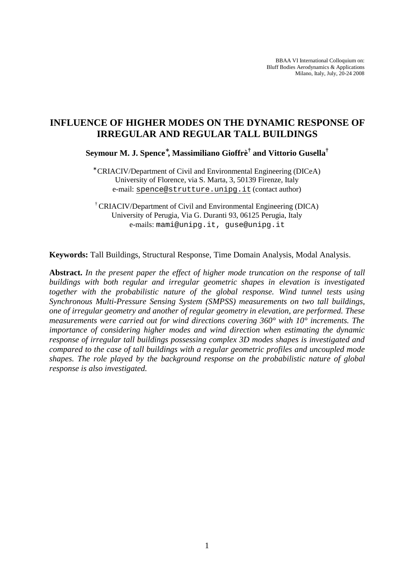BBAA VI International Colloquium on: Bluff Bodies Aerodynamics & Applications Milano, Italy, July, 20-24 2008

# **INFLUENCE OF HIGHER MODES ON THE DYNAMIC RESPONSE OF IRREGULAR AND REGULAR TALL BUILDINGS**

**Seymour M. J. Spence\* , Massimiliano Gioffrè† and Vittorio Gusella†**

∗ CRIACIV/Department of Civil and Environmental Engineering (DICeA) University of Florence, via S. Marta, 3, 50139 Firenze, Italy e-mail: [spence@strutture.unipg.it](mailto:spence@strutture.unipg.it) (contact author)

† CRIACIV/Department of Civil and Environmental Engineering (DICA) University of Perugia, Via G. Duranti 93, 06125 Perugia, Italy e-mails: mami@unipg.it, guse@unipg.it

**Keywords:** Tall Buildings, Structural Response, Time Domain Analysis, Modal Analysis.

**Abstract.** *In the present paper the effect of higher mode truncation on the response of tall buildings with both regular and irregular geometric shapes in elevation is investigated together with the probabilistic nature of the global response. Wind tunnel tests using Synchronous Multi-Pressure Sensing System (SMPSS) measurements on two tall buildings, one of irregular geometry and another of regular geometry in elevation, are performed. These measurements were carried out for wind directions covering 360° with 10° increments. The importance of considering higher modes and wind direction when estimating the dynamic response of irregular tall buildings possessing complex 3D modes shapes is investigated and compared to the case of tall buildings with a regular geometric profiles and uncoupled mode shapes. The role played by the background response on the probabilistic nature of global response is also investigated.*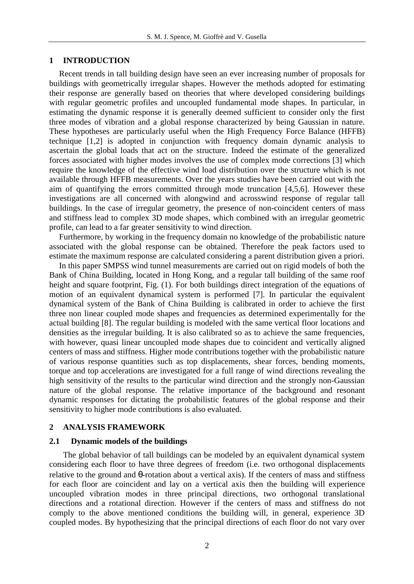# **1 INTRODUCTION**

Recent trends in tall building design have seen an ever increasing number of proposals for buildings with geometrically irregular shapes. However the methods adopted for estimating their response are generally based on theories that where developed considering buildings with regular geometric profiles and uncoupled fundamental mode shapes. In particular, in estimating the dynamic response it is generally deemed sufficient to consider only the first three modes of vibration and a global response characterized by being Gaussian in nature. These hypotheses are particularly useful when the High Frequency Force Balance (HFFB) technique [1,2] is adopted in conjunction with frequency domain dynamic analysis to ascertain the global loads that act on the structure. Indeed the estimate of the generalized forces associated with higher modes involves the use of complex mode corrections [3] which require the knowledge of the effective wind load distribution over the structure which is not available through HFFB measurements. Over the years studies have been carried out with the aim of quantifying the errors committed through mode truncation [4,5,6]. However these investigations are all concerned with alongwind and acrosswind response of regular tall buildings. In the case of irregular geometry, the presence of non-coincident centers of mass and stiffness lead to complex 3D mode shapes, which combined with an irregular geometric profile, can lead to a far greater sensitivity to wind direction.

Furthermore, by working in the frequency domain no knowledge of the probabilistic nature associated with the global response can be obtained. Therefore the peak factors used to estimate the maximum response are calculated considering a parent distribution given a priori.

In this paper SMPSS wind tunnel measurements are carried out on rigid models of both the Bank of China Building, located in Hong Kong, and a regular tall building of the same roof height and square footprint, Fig. (1). For both buildings direct integration of the equations of motion of an equivalent dynamical system is performed [7]. In particular the equivalent dynamical system of the Bank of China Building is calibrated in order to achieve the first three non linear coupled mode shapes and frequencies as determined experimentally for the actual building [8]. The regular building is modeled with the same vertical floor locations and densities as the irregular building. It is also calibrated so as to achieve the same frequencies, with however, quasi linear uncoupled mode shapes due to coincident and vertically aligned centers of mass and stiffness. Higher mode contributions together with the probabilistic nature of various response quantities such as top displacements, shear forces, bending moments, torque and top accelerations are investigated for a full range of wind directions revealing the high sensitivity of the results to the particular wind direction and the strongly non-Gaussian nature of the global response. The relative importance of the background and resonant dynamic responses for dictating the probabilistic features of the global response and their sensitivity to higher mode contributions is also evaluated.

# **2 ANALYSIS FRAMEWORK**

# **2.1 Dynamic models of the buildings**

The global behavior of tall buildings can be modeled by an equivalent dynamical system considering each floor to have three degrees of freedom (i.e. two orthogonal displacements relative to the ground and *q*-rotation about a vertical axis). If the centers of mass and stiffness for each floor are coincident and lay on a vertical axis then the building will experience uncoupled vibration modes in three principal directions, two orthogonal translational directions and a rotational direction. However if the centers of mass and stiffness do not comply to the above mentioned conditions the building will, in general, experience 3D coupled modes. By hypothesizing that the principal directions of each floor do not vary over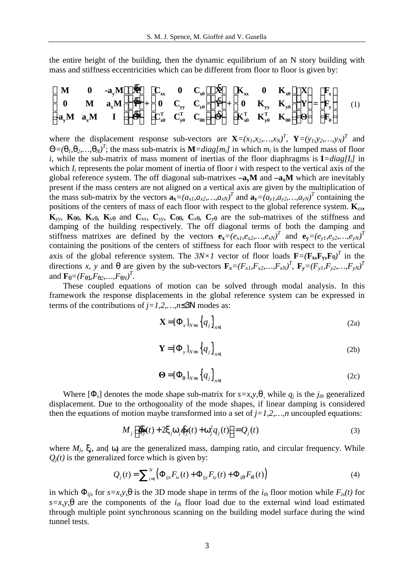the entire height of the building, then the dynamic equilibrium of an N story building with mass and stiffness eccentricities which can be different from floor to floor is given by:

$$
\begin{bmatrix}\n\mathbf{M} & \mathbf{0} & -\mathbf{a}_{y}\mathbf{M} \\
\mathbf{0} & \mathbf{M} & \mathbf{a}_{x}\mathbf{M} \\
-\mathbf{a}_{y}\mathbf{M} & \mathbf{a}_{x}\mathbf{M} & \mathbf{I}\n\end{bmatrix}\n\begin{bmatrix}\n\mathbf{R} \\
\mathbf{R} \\
\mathbf{B} \\
\mathbf{C} \\
\mathbf{C} \\
\mathbf{C} \\
\mathbf{C} \\
\mathbf{F}_{x\theta} & \mathbf{C}_{y\theta} \\
\mathbf{C} \\
\mathbf{C} \\
\mathbf{C} \\
\mathbf{C} \\
\mathbf{C} \\
\mathbf{C} \\
\mathbf{C} \\
\mathbf{C} \\
\mathbf{C} \\
\mathbf{C} \\
\mathbf{C} \\
\mathbf{C} \\
\mathbf{C} \\
\mathbf{C} \\
\mathbf{C} \\
\mathbf{C} \\
\mathbf{C} \\
\mathbf{C} \\
\mathbf{C} \\
\mathbf{C} \\
\mathbf{C} \\
\mathbf{C} \\
\mathbf{C} \\
\mathbf{C} \\
\mathbf{C} \\
\mathbf{C} \\
\mathbf{C} \\
\mathbf{C} \\
\mathbf{C} \\
\mathbf{C} \\
\mathbf{C} \\
\mathbf{C} \\
\mathbf{C} \\
\mathbf{C} \\
\mathbf{C} \\
\mathbf{C} \\
\mathbf{C} \\
\mathbf{C} \\
\mathbf{C} \\
\mathbf{C} \\
\mathbf{C} \\
\mathbf{C} \\
\mathbf{C} \\
\mathbf{C} \\
\mathbf{C} \\
\mathbf{C} \\
\mathbf{C} \\
\mathbf{C} \\
\mathbf{C} \\
\mathbf{C} \\
\mathbf{C} \\
\mathbf{C} \\
\mathbf{C} \\
\mathbf{C} \\
\mathbf{C} \\
\mathbf{C} \\
\mathbf{C} \\
\mathbf{C} \\
\mathbf{C} \\
\mathbf{C} \\
\mathbf{C} \\
\mathbf{C} \\
\mathbf{C} \\
\mathbf{C} \\
\mathbf{C} \\
\mathbf{C} \\
\mathbf{C} \\
\mathbf{C} \\
\mathbf{C} \\
\mathbf{C} \\
\mathbf{C} \\
\mathbf{C} \\
\mathbf{C} \\
\mathbf{C} \\
\mathbf{C} \\
\mathbf{C} \\
\mathbf{C} \\
\mathbf{C} \\
\mathbf{C} \\
\mathbf{C} \\
\mathbf{C} \\
\mathbf{C} \\
\math
$$

where the displacement response sub-vectors are  $\mathbf{X} = (x_1, x_2, ..., x_N)^T$ ,  $\mathbf{Y} = (y_1, y_2, ..., y_N)^T$  and  $Q=(q_1, q_2,..., q_N)^T$ ; the mass sub-matrix is  $M = diag[m_i]$  in which  $m_i$  is the lumped mass of floor *i*, while the sub-matrix of mass moment of inertias of the floor diaphragms is  $I = diag[I_i]$  in which  $I_i$  represents the polar moment of inertia of floor  $i$  with respect to the vertical axis of the global reference system. The off diagonal sub-matrixes **–ayM** and **–axM** which are inevitably present if the mass centers are not aligned on a vertical axis are given by the multiplication of the mass sub-matrix by the vectors  $\mathbf{a_x} = (a_{x1}, a_{x2},..., a_{xN})^T$  and  $\mathbf{a_y} = (a_{y1}, a_{y2},..., a_{yN})^T$  containing the positions of the centers of mass of each floor with respect to the global reference system.  $\mathbf{K}_{xx}$ ,  $\mathbf{K}_{yy}$ ,  $\mathbf{K}_{qq}$ ,  $\mathbf{K}_{xq}$ ,  $\mathbf{K}_{yq}$  and  $\mathbf{C}_{xx}$ ,  $\mathbf{C}_{yy}$ ,  $\mathbf{C}_{qq}$ ,  $\mathbf{C}_{xq}$ ,  $\mathbf{C}_{yq}$  are the sub-matrixes of the stiffness and damping of the building respectively. The off diagonal terms of both the damping and stiffness matrixes are defined by the vectors  $\mathbf{e}_x=(e_{x1},e_{x2},...,e_{xN})^T$  and  $\mathbf{e}_y=(e_{y1},e_{y2},...,e_{yN})^T$ containing the positions of the centers of stiffness for each floor with respect to the vertical axis of the global reference system. The  $3N \times I$  vector of floor loads  $\mathbf{F} = (\mathbf{F_x}, \mathbf{F_y}, \mathbf{F_q})^T$  in the directions x, y and q are given by the sub-vectors  $\mathbf{F}_x = (F_{x1}, F_{x2},..., F_{xN})^T$ ,  $\mathbf{F}_y = (F_{y1}, F_{y2},..., F_{yN})^T$ and  $\mathbf{F}_q = (F_{q1}, F_{q2}, \ldots, F_{qN})^T$ .

These coupled equations of motion can be solved through modal analysis. In this framework the response displacements in the global reference system can be expressed in terms of the contributions of *j=1,2,…,n£3N* modes as:

$$
\mathbf{X} = [\mathbf{\Phi}_x]_{N \times n} \left\{ q_j \right\}_{n \times 1}
$$
 (2a)

$$
\mathbf{Y} = [\mathbf{\Phi}_{y}]_{N \times n} \left\{ q_{j} \right\}_{n \times 1}
$$
 (2b)

$$
\mathbf{\Theta} = [\mathbf{\Phi}_q]_{N \times n} \left\{ q_j \right\}_{n \times 1}
$$
 (2c)

Where  $[\Phi_{s}]$  denotes the mode shape sub-matrix for  $s=x,y,q$  while  $q_i$  is the  $j_{th}$  generalized displacement. Due to the orthogonality of the mode shapes, if linear damping is considered then the equations of motion maybe transformed into a set of  $j=1,2,...,n$  uncoupled equations:

$$
M_j\left[\frac{\partial g_j}{\partial t_j}(t) + 2x_j W_j \frac{\partial g_j}{\partial t_j}(t) + W_j^2 q_j(t)\right] = Q_j(t)
$$
\n(3)

where  $M_j$ ,  $X_j$ , and  $W_j$  are the generalized mass, damping ratio, and circular frequency. While  $Q_i(t)$  is the generalized force which is given by:

$$
Q_j(t) = \sum_{i=1}^{N} \left( \Phi_{ijx} F_{ix}(t) + \Phi_{ijy} F_{iy}(t) + \Phi_{ijq} F_{iq}(t) \right)
$$
(4)

in which  $\Phi_{ijs}$  for  $s=x,y,q$  is the 3D mode shape in terms of the  $i<sub>th</sub>$  floor motion while  $F_{is}(t)$  for  $s=x,y,q$  are the components of the  $i<sub>th</sub>$  floor load due to the external wind load estimated through multiple point synchronous scanning on the building model surface during the wind tunnel tests.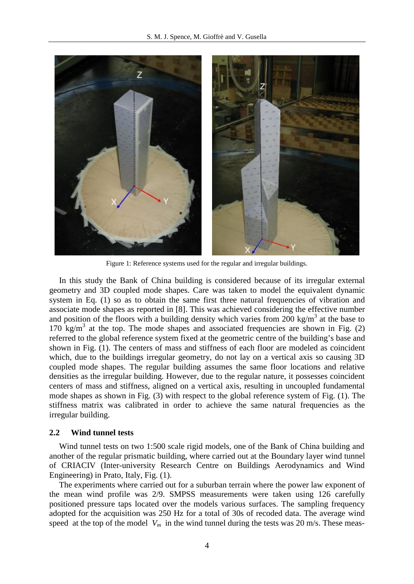

Figure 1: Reference systems used for the regular and irregular buildings.

In this study the Bank of China building is considered because of its irregular external geometry and 3D coupled mode shapes. Care was taken to model the equivalent dynamic system in Eq. (1) so as to obtain the same first three natural frequencies of vibration and associate mode shapes as reported in [8]. This was achieved considering the effective number and position of the floors with a building density which varies from  $200 \text{ kg/m}^3$  at the base to  $170 \text{ kg/m}^3$  at the top. The mode shapes and associated frequencies are shown in Fig. (2) referred to the global reference system fixed at the geometric centre of the building's base and shown in Fig. (1). The centers of mass and stiffness of each floor are modeled as coincident which, due to the buildings irregular geometry, do not lay on a vertical axis so causing 3D coupled mode shapes. The regular building assumes the same floor locations and relative densities as the irregular building. However, due to the regular nature, it possesses coincident centers of mass and stiffness, aligned on a vertical axis, resulting in uncoupled fundamental mode shapes as shown in Fig. (3) with respect to the global reference system of Fig. (1). The stiffness matrix was calibrated in order to achieve the same natural frequencies as the irregular building.

### **2.2 Wind tunnel tests**

Wind tunnel tests on two 1:500 scale rigid models, one of the Bank of China building and another of the regular prismatic building, where carried out at the Boundary layer wind tunnel of CRIACIV (Inter-university Research Centre on Buildings Aerodynamics and Wind Engineering) in Prato, Italy, Fig. (1).

The experiments where carried out for a suburban terrain where the power law exponent of the mean wind profile was 2/9. SMPSS measurements were taken using 126 carefully positioned pressure taps located over the models various surfaces. The sampling frequency adopted for the acquisition was 250 Hz for a total of 30s of recoded data. The average wind speed at the top of the model  $V_m$  in the wind tunnel during the tests was 20 m/s. These meas-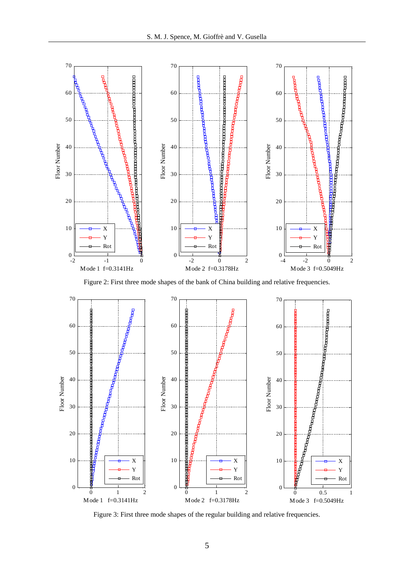

Figure 2: First three mode shapes of the bank of China building and relative frequencies.



Figure 3: First three mode shapes of the regular building and relative frequencies.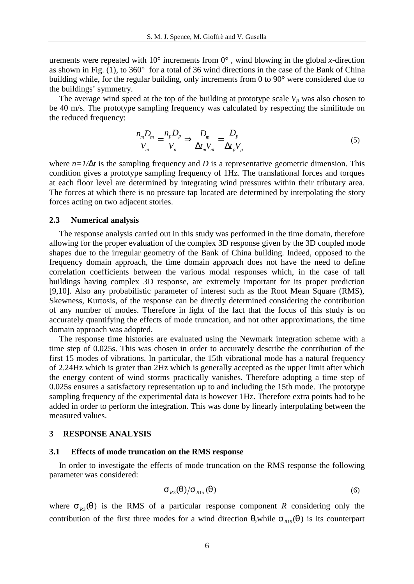urements were repeated with  $10^{\circ}$  increments from  $0^{\circ}$ , wind blowing in the global *x*-direction as shown in Fig. (1), to 360° for a total of 36 wind directions in the case of the Bank of China building while, for the regular building, only increments from 0 to 90° were considered due to the buildings' symmetry.

The average wind speed at the top of the building at prototype scale  $V_p$  was also chosen to be 40 m/s. The prototype sampling frequency was calculated by respecting the similitude on the reduced frequency:

$$
\frac{n_{m}D_{m}}{V_{m}} = \frac{n_{p}D_{p}}{V_{p}} \Longrightarrow \frac{D_{m}}{\Delta t_{m}V_{m}} = \frac{D_{p}}{\Delta t_{p}V_{p}}
$$
(5)

where  $n=1/Dt$  is the sampling frequency and *D* is a representative geometric dimension. This condition gives a prototype sampling frequency of 1Hz. The translational forces and torques at each floor level are determined by integrating wind pressures within their tributary area. The forces at which there is no pressure tap located are determined by interpolating the story forces acting on two adjacent stories.

#### **2.3 Numerical analysis**

The response analysis carried out in this study was performed in the time domain, therefore allowing for the proper evaluation of the complex 3D response given by the 3D coupled mode shapes due to the irregular geometry of the Bank of China building. Indeed, opposed to the frequency domain approach, the time domain approach does not have the need to define correlation coefficients between the various modal responses which, in the case of tall buildings having complex 3D response, are extremely important for its proper prediction [9,10]. Also any probabilistic parameter of interest such as the Root Mean Square (RMS), Skewness, Kurtosis, of the response can be directly determined considering the contribution of any number of modes. Therefore in light of the fact that the focus of this study is on accurately quantifying the effects of mode truncation, and not other approximations, the time domain approach was adopted.

The response time histories are evaluated using the Newmark integration scheme with a time step of 0.025s. This was chosen in order to accurately describe the contribution of the first 15 modes of vibrations. In particular, the 15th vibrational mode has a natural frequency of 2.24Hz which is grater than 2Hz which is generally accepted as the upper limit after which the energy content of wind storms practically vanishes. Therefore adopting a time step of 0.025s ensures a satisfactory representation up to and including the 15th mode. The prototype sampling frequency of the experimental data is however 1Hz. Therefore extra points had to be added in order to perform the integration. This was done by linearly interpolating between the measured values.

### **3 RESPONSE ANALYSIS**

#### **3.1 Effects of mode truncation on the RMS response**

In order to investigate the effects of mode truncation on the RMS response the following parameter was considered:

$$
\mathbf{S}_{R3}(q)/\mathbf{S}_{R15}(q) \tag{6}
$$

where  $S_{R3}(q)$  is the RMS of a particular response component *R* considering only the contribution of the first three modes for a wind direction  $q$ , while  $s_{R15}(q)$  is its counterpart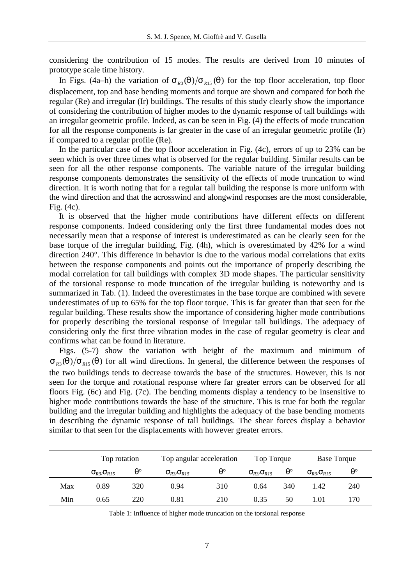considering the contribution of 15 modes. The results are derived from 10 minutes of prototype scale time history.

In Figs. (4a–h) the variation of  $s_{R3}(q)/s_{R15}(q)$  for the top floor acceleration, top floor displacement, top and base bending moments and torque are shown and compared for both the regular (Re) and irregular (Ir) buildings. The results of this study clearly show the importance of considering the contribution of higher modes to the dynamic response of tall buildings with an irregular geometric profile. Indeed, as can be seen in Fig. (4) the effects of mode truncation for all the response components is far greater in the case of an irregular geometric profile (Ir) if compared to a regular profile (Re).

In the particular case of the top floor acceleration in Fig. (4c), errors of up to 23% can be seen which is over three times what is observed for the regular building. Similar results can be seen for all the other response components. The variable nature of the irregular building response components demonstrates the sensitivity of the effects of mode truncation to wind direction. It is worth noting that for a regular tall building the response is more uniform with the wind direction and that the acrosswind and alongwind responses are the most considerable, Fig. (4c).

It is observed that the higher mode contributions have different effects on different response components. Indeed considering only the first three fundamental modes does not necessarily mean that a response of interest is underestimated as can be clearly seen for the base torque of the irregular building, Fig. (4h), which is overestimated by 42% for a wind direction 240°. This difference in behavior is due to the various modal correlations that exits between the response components and points out the importance of properly describing the modal correlation for tall buildings with complex 3D mode shapes. The particular sensitivity of the torsional response to mode truncation of the irregular building is noteworthy and is summarized in Tab. (1). Indeed the overestimates in the base torque are combined with severe underestimates of up to 65% for the top floor torque. This is far greater than that seen for the regular building. These results show the importance of considering higher mode contributions for properly describing the torsional response of irregular tall buildings. The adequacy of considering only the first three vibration modes in the case of regular geometry is clear and confirms what can be found in literature.

Figs. (5-7) show the variation with height of the maximum and minimum of  $S_{R3}(q)/S_{R15}(q)$  for all wind directions. In general, the difference between the responses of the two buildings tends to decrease towards the base of the structures. However, this is not seen for the torque and rotational response where far greater errors can be observed for all floors Fig. (6c) and Fig. (7c). The bending moments display a tendency to be insensitive to higher mode contributions towards the base of the structure. This is true for both the regular building and the irregular building and highlights the adequacy of the base bending moments in describing the dynamic response of tall buildings. The shear forces display a behavior similar to that seen for the displacements with however greater errors.

|     | Top rotation     |     | Top angular acceleration |     | Top Torque       |             | <b>Base Torque</b> |     |
|-----|------------------|-----|--------------------------|-----|------------------|-------------|--------------------|-----|
|     | $S_{R3}/S_{R15}$ |     | $S_{R3}/S_{R15}$         |     | $S_{R3}/S_{R15}$ | $q^{\circ}$ | $S_{R3}/S_{R15}$   |     |
| Max | 0.89             | 320 | 0.94                     | 310 | 0.64             | 340         | 1.42               | 240 |
| Min | 0.65             | 220 | 0.81                     | 210 | 0.35             | 50          | .01                | 170 |

Table 1: Influence of higher mode truncation on the torsional response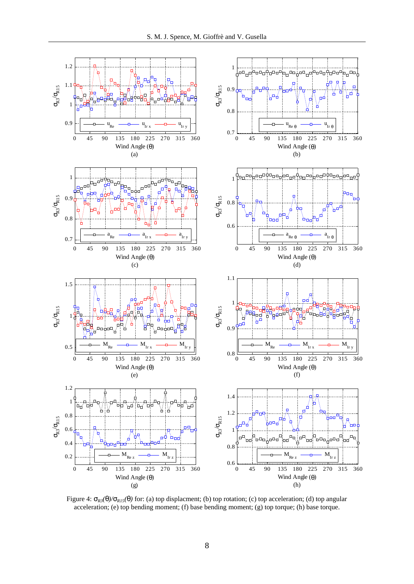

Figure 4:  $s_{R3}(q)/s_{R15}(q)$  for: (a) top displacment; (b) top rotation; (c) top acceleration; (d) top angular acceleration; (e) top bending moment; (f) base bending moment; (g) top torque; (h) base torque.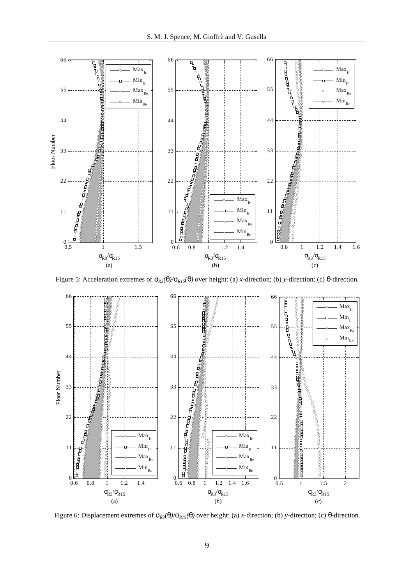

Figure 5: Acceleration extremes of  $S_{RS}(q)/S_{R15}(q)$  over height: (a) *x*-direction; (b) *y*-direction; (c) *q*-direction.



Figure 6: Displacement extremes of *sR3(q)/sR15(q)* over height: (a) *x*-direction; (b) *y*-direction; (c) *q*-direction.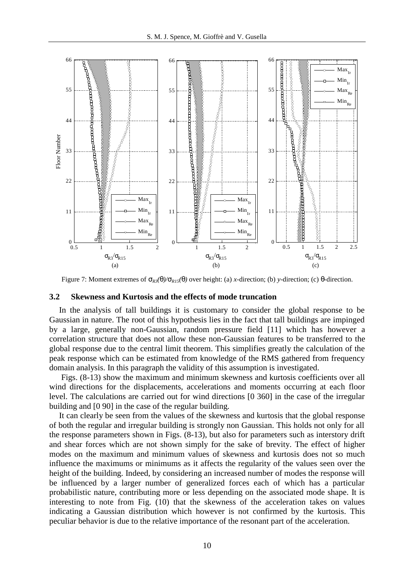

Figure 7: Moment extremes of  $S_{R3}(q)/S_{R15}(q)$  over height: (a) *x*-direction; (b) *y*-direction; (c) *q*-direction.

### **3.2 Skewness and Kurtosis and the effects of mode truncation**

In the analysis of tall buildings it is customary to consider the global response to be Gaussian in nature. The root of this hypothesis lies in the fact that tall buildings are impinged by a large, generally non-Gaussian, random pressure field [11] which has however a correlation structure that does not allow these non-Gaussian features to be transferred to the global response due to the central limit theorem. This simplifies greatly the calculation of the peak response which can be estimated from knowledge of the RMS gathered from frequency domain analysis. In this paragraph the validity of this assumption is investigated.

 Figs. (8-13) show the maximum and minimum skewness and kurtosis coefficients over all wind directions for the displacements, accelerations and moments occurring at each floor level. The calculations are carried out for wind directions [0 360] in the case of the irregular building and [0 90] in the case of the regular building.

It can clearly be seen from the values of the skewness and kurtosis that the global response of both the regular and irregular building is strongly non Gaussian. This holds not only for all the response parameters shown in Figs. (8-13), but also for parameters such as interstory drift and shear forces which are not shown simply for the sake of brevity. The effect of higher modes on the maximum and minimum values of skewness and kurtosis does not so much influence the maximums or minimums as it affects the regularity of the values seen over the height of the building. Indeed, by considering an increased number of modes the response will be influenced by a larger number of generalized forces each of which has a particular probabilistic nature, contributing more or less depending on the associated mode shape. It is interesting to note from Fig. (10) that the skewness of the acceleration takes on values indicating a Gaussian distribution which however is not confirmed by the kurtosis. This peculiar behavior is due to the relative importance of the resonant part of the acceleration.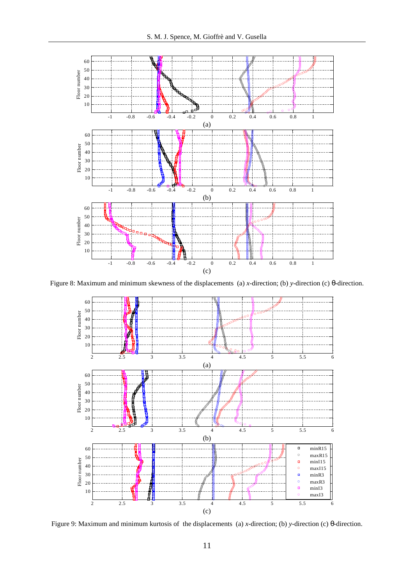

Figure 8: Maximum and minimum skewness of the displacements (a) *x*-direction; (b) *y*-direction (c) *q*-direction.



Figure 9: Maximum and minimum kurtosis of the displacements (a) *x*-direction; (b) *y*-direction (c) *q*-direction.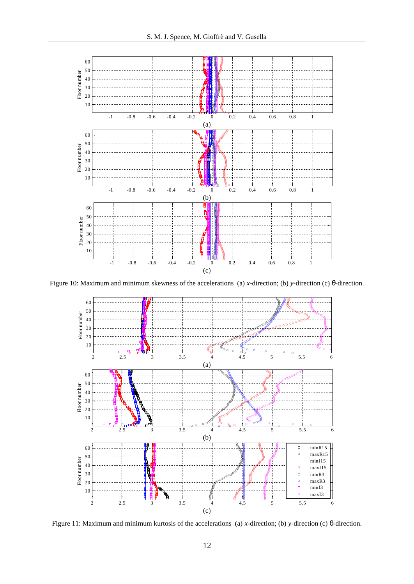

Figure 10: Maximum and minimum skewness of the accelerations (a) *x*-direction; (b) *y*-direction (c) *q*-direction.



Figure 11: Maximum and minimum kurtosis of the accelerations (a) *x*-direction; (b) *y*-direction (c) *q*-direction.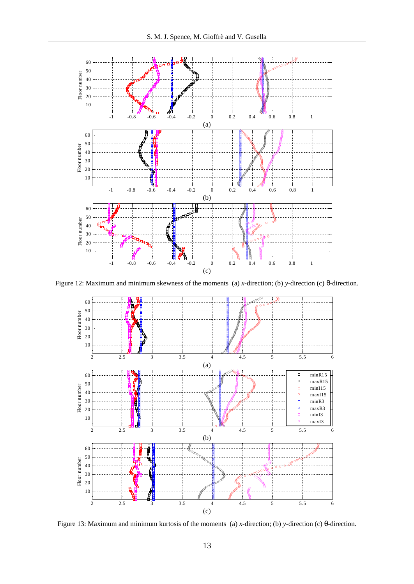

Figure 12: Maximum and minimum skewness of the moments (a) *x*-direction; (b) *y*-direction (c) *q*-direction.



Figure 13: Maximum and minimum kurtosis of the moments (a) *x*-direction; (b) *y*-direction (c) *q*-direction.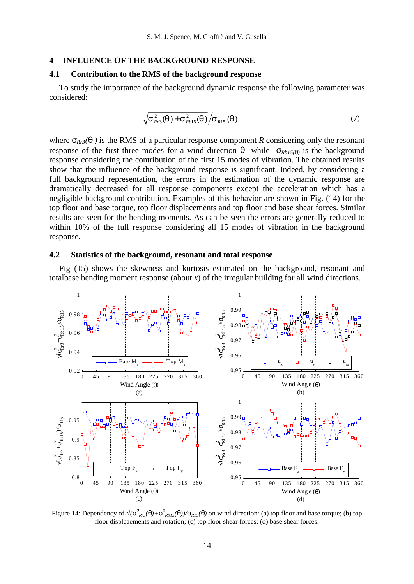### **4 INFLUENCE OF THE BACKGROUND RESPONSE**

# **4.1 Contribution to the RMS of the background response**

To study the importance of the background dynamic response the following parameter was considered:

$$
\sqrt{S_{Rr3}^2(q) + S_{Rb15}^2(q)} / S_{R15}(q)
$$
\n(7)

where  $S_{Rr3}(q)$  is the RMS of a particular response component *R* considering only the resonant response of the first three modes for a wind direction *q* while  $S_{Rb15(q)}$  is the background response considering the contribution of the first 15 modes of vibration. The obtained results show that the influence of the background response is significant. Indeed, by considering a full background representation, the errors in the estimation of the dynamic response are dramatically decreased for all response components except the acceleration which has a negligible background contribution. Examples of this behavior are shown in Fig. (14) for the top floor and base torque, top floor displacements and top floor and base shear forces. Similar results are seen for the bending moments. As can be seen the errors are generally reduced to within 10% of the full response considering all 15 modes of vibration in the background response.

### **4.2 Statistics of the background, resonant and total response**

Fig (15) shows the skewness and kurtosis estimated on the background, resonant and totalbase bending moment response (about *x*) of the irregular building for all wind directions.



Figure 14: Dependency of  $\sqrt{(s_{Rr3}^2(q) + s_{Rb15}^2(q))/s_{R15}(q)}$  on wind direction: (a) top floor and base torque; (b) top floor displcaements and rotation; (c) top floor shear forces; (d) base shear forces.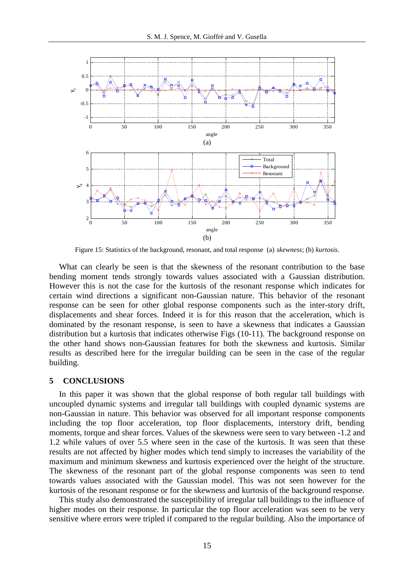

Figure 15: Statistics of the background, resonant, and total response (a) *skewness*; (b) *kurtosis*.

What can clearly be seen is that the skewness of the resonant contribution to the base bending moment tends strongly towards values associated with a Gaussian distribution. However this is not the case for the kurtosis of the resonant response which indicates for certain wind directions a significant non-Gaussian nature. This behavior of the resonant response can be seen for other global response components such as the inter-story drift, displacements and shear forces. Indeed it is for this reason that the acceleration, which is dominated by the resonant response, is seen to have a skewness that indicates a Gaussian distribution but a kurtosis that indicates otherwise Figs (10-11). The background response on the other hand shows non-Gaussian features for both the skewness and kurtosis. Similar results as described here for the irregular building can be seen in the case of the regular building.

# **5 CONCLUSIONS**

In this paper it was shown that the global response of both regular tall buildings with uncoupled dynamic systems and irregular tall buildings with coupled dynamic systems are non-Gaussian in nature. This behavior was observed for all important response components including the top floor acceleration, top floor displacements, interstory drift, bending moments, torque and shear forces. Values of the skewness were seen to vary between -1.2 and 1.2 while values of over 5.5 where seen in the case of the kurtosis. It was seen that these results are not affected by higher modes which tend simply to increases the variability of the maximum and minimum skewness and kurtosis experienced over the height of the structure. The skewness of the resonant part of the global response components was seen to tend towards values associated with the Gaussian model. This was not seen however for the kurtosis of the resonant response or for the skewness and kurtosis of the background response.

This study also demonstrated the susceptibility of irregular tall buildings to the influence of higher modes on their response. In particular the top floor acceleration was seen to be very sensitive where errors were tripled if compared to the regular building. Also the importance of